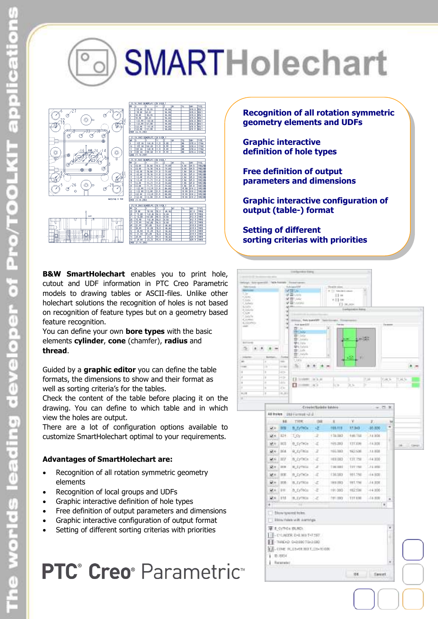# SMARTHolechart



**B&W SmartHolechart** enables you to print hole, cutout and UDF information in PTC Creo Parametric models to drawing tables or ASCII-files. Unlike other holechart solutions the recognition of holes is not based on recognition of feature types but on a geometry based feature recognition.

You can define your own **bore types** with the basic elements **cylinder**, **cone** (chamfer), **radius** and **thread**.

Guided by a **graphic editor** you can define the table formats, the dimensions to show and their format as well as sorting criteria's for the tables.

Check the content of the table before placing it on the drawing. You can define to which table and in which view the holes are output.

There are a lot of configuration options available to customize SmartHolechart optimal to your requirements.

#### **Advantages of SmartHolechart are:**

- Recognition of all rotation symmetric geometry elements
- Recognition of local groups and UDFs
- Graphic interactive definition of hole types
- Free definition of output parameters and dimensions
- Graphic interactive configuration of output format
- Setting of different sorting criterias with priorities

## PTC<sup>®</sup> Creo<sup>®</sup> Parametric<sup>®</sup>

**Recognition of all rotation symmetric geometry elements and UDFs**

- **Graphic interactive definition of hole types**
- **Free definition of output parameters and dimensions**

**Graphic interactive configuration of output (table-) format**

**Setting of different sorting criterias with priorities**